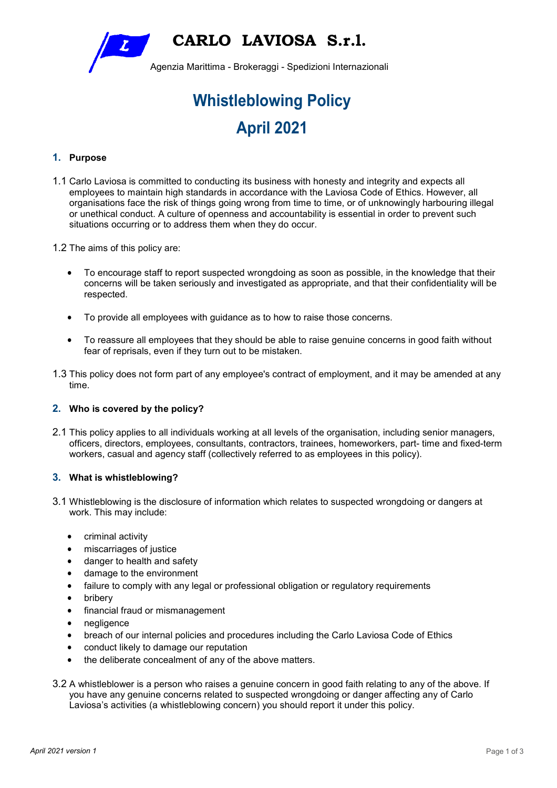**CARLO LAVIOSA S.r.l.** 

Agenzia Marittima - Brokeraggi - Spedizioni Internazionali

# **Whistleblowing Policy April 2021**

# **1. Purpose**

- 1.1 Carlo Laviosa is committed to conducting its business with honesty and integrity and expects all employees to maintain high standards in accordance with the Laviosa Code of Ethics. However, all organisations face the risk of things going wrong from time to time, or of unknowingly harbouring illegal or unethical conduct. A culture of openness and accountability is essential in order to prevent such situations occurring or to address them when they do occur.
- 1.2 The aims of this policy are:

 $\boldsymbol{Z}$ 

- To encourage staff to report suspected wrongdoing as soon as possible, in the knowledge that their concerns will be taken seriously and investigated as appropriate, and that their confidentiality will be respected.
- To provide all employees with guidance as to how to raise those concerns.
- To reassure all employees that they should be able to raise genuine concerns in good faith without fear of reprisals, even if they turn out to be mistaken.
- 1.3 This policy does not form part of any employee's contract of employment, and it may be amended at any time.

## **2. Who is covered by the policy?**

2.1 This policy applies to all individuals working at all levels of the organisation, including senior managers, officers, directors, employees, consultants, contractors, trainees, homeworkers, part- time and fixed-term workers, casual and agency staff (collectively referred to as employees in this policy).

#### **3. What is whistleblowing?**

- 3.1 Whistleblowing is the disclosure of information which relates to suspected wrongdoing or dangers at work. This may include:
	- criminal activity
	- miscarriages of justice
	- danger to health and safety
	- damage to the environment
	- failure to comply with any legal or professional obligation or regulatory requirements
	- bribery
	- financial fraud or mismanagement
	- negligence
	- breach of our internal policies and procedures including the Carlo Laviosa Code of Ethics
	- conduct likely to damage our reputation
	- the deliberate concealment of any of the above matters.
- 3.2 A whistleblower is a person who raises a genuine concern in good faith relating to any of the above. If you have any genuine concerns related to suspected wrongdoing or danger affecting any of Carlo Laviosa's activities (a whistleblowing concern) you should report it under this policy.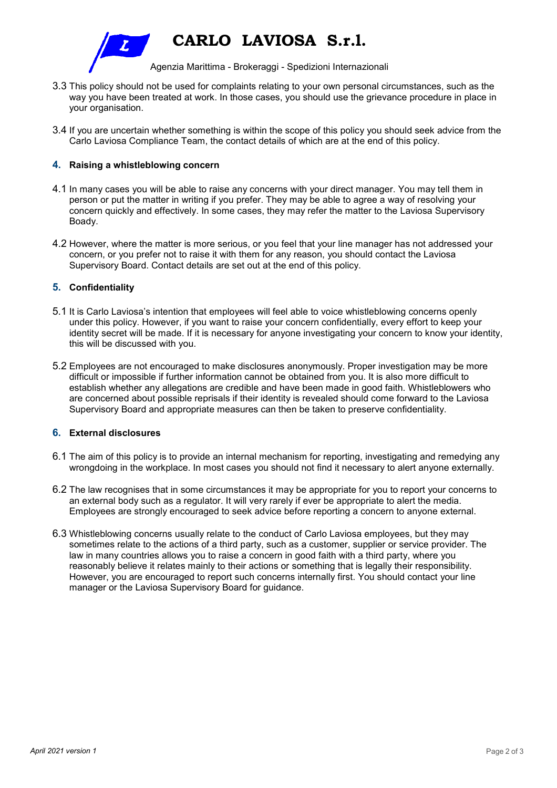

**CARLO LAVIOSA S.r.l.** 

Agenzia Marittima - Brokeraggi - Spedizioni Internazionali

- 3.3 This policy should not be used for complaints relating to your own personal circumstances, such as the way you have been treated at work. In those cases, you should use the grievance procedure in place in your organisation.
- 3.4 If you are uncertain whether something is within the scope of this policy you should seek advice from the Carlo Laviosa Compliance Team, the contact details of which are at the end of this policy.

## **4. Raising a whistleblowing concern**

- 4.1 In many cases you will be able to raise any concerns with your direct manager. You may tell them in person or put the matter in writing if you prefer. They may be able to agree a way of resolving your concern quickly and effectively. In some cases, they may refer the matter to the Laviosa Supervisory Boady.
- 4.2 However, where the matter is more serious, or you feel that your line manager has not addressed your concern, or you prefer not to raise it with them for any reason, you should contact the Laviosa Supervisory Board. Contact details are set out at the end of this policy.

# **5. Confidentiality**

- 5.1 It is Carlo Laviosa's intention that employees will feel able to voice whistleblowing concerns openly under this policy. However, if you want to raise your concern confidentially, every effort to keep your identity secret will be made. If it is necessary for anyone investigating your concern to know your identity, this will be discussed with you.
- 5.2 Employees are not encouraged to make disclosures anonymously. Proper investigation may be more difficult or impossible if further information cannot be obtained from you. It is also more difficult to establish whether any allegations are credible and have been made in good faith. Whistleblowers who are concerned about possible reprisals if their identity is revealed should come forward to the Laviosa Supervisory Board and appropriate measures can then be taken to preserve confidentiality.

## **6. External disclosures**

- 6.1 The aim of this policy is to provide an internal mechanism for reporting, investigating and remedying any wrongdoing in the workplace. In most cases you should not find it necessary to alert anyone externally.
- 6.2 The law recognises that in some circumstances it may be appropriate for you to report your concerns to an external body such as a regulator. It will very rarely if ever be appropriate to alert the media. Employees are strongly encouraged to seek advice before reporting a concern to anyone external.
- 6.3 Whistleblowing concerns usually relate to the conduct of Carlo Laviosa employees, but they may sometimes relate to the actions of a third party, such as a customer, supplier or service provider. The law in many countries allows you to raise a concern in good faith with a third party, where you reasonably believe it relates mainly to their actions or something that is legally their responsibility. However, you are encouraged to report such concerns internally first. You should contact your line manager or the Laviosa Supervisory Board for guidance.